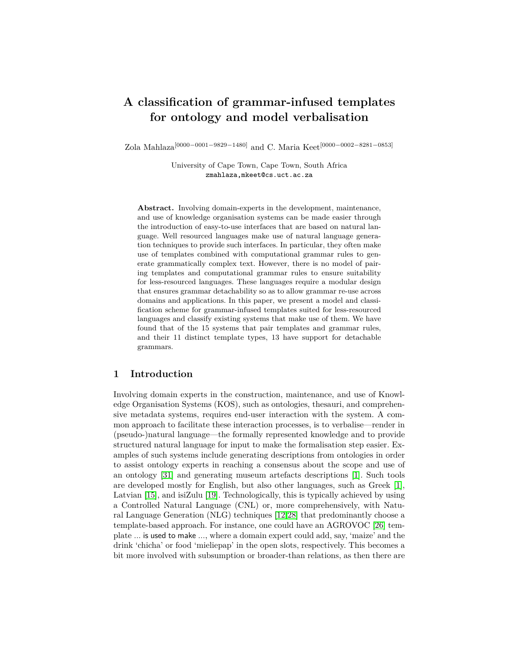# **A classification of grammar-infused templates for ontology and model verbalisation**

Zola Mahlaza[0000−0001−9829−1480] and C. Maria Keet[0000−0002−8281−0853]

University of Cape Town, Cape Town, South Africa zmahlaza,mkeet@cs.uct.ac.za

**Abstract.** Involving domain-experts in the development, maintenance, and use of knowledge organisation systems can be made easier through the introduction of easy-to-use interfaces that are based on natural language. Well resourced languages make use of natural language generation techniques to provide such interfaces. In particular, they often make use of templates combined with computational grammar rules to generate grammatically complex text. However, there is no model of pairing templates and computational grammar rules to ensure suitability for less-resourced languages. These languages require a modular design that ensures grammar detachability so as to allow grammar re-use across domains and applications. In this paper, we present a model and classification scheme for grammar-infused templates suited for less-resourced languages and classify existing systems that make use of them. We have found that of the 15 systems that pair templates and grammar rules, and their 11 distinct template types, 13 have support for detachable grammars.

# **1 Introduction**

Involving domain experts in the construction, maintenance, and use of Knowledge Organisation Systems (KOS), such as ontologies, thesauri, and comprehensive metadata systems, requires end-user interaction with the system. A common approach to facilitate these interaction processes, is to verbalise—render in (pseudo-)natural language—the formally represented knowledge and to provide structured natural language for input to make the formalisation step easier. Examples of such systems include generating descriptions from ontologies in order to assist ontology experts in reaching a consensus about the scope and use of an ontology [\[31\]](#page-11-0) and generating museum artefacts descriptions [\[1\]](#page-10-0). Such tools are developed mostly for English, but also other languages, such as Greek [\[1\]](#page-10-0), Latvian [\[15\]](#page-10-1), and isiZulu [\[19\]](#page-11-1). Technologically, this is typically achieved by using a Controlled Natural Language (CNL) or, more comprehensively, with Natural Language Generation (NLG) techniques [\[12,](#page-10-2)[28\]](#page-11-2) that predominantly choose a template-based approach. For instance, one could have an AGROVOC [\[26\]](#page-11-3) template ... is used to make ..., where a domain expert could add, say, 'maize' and the drink 'chicha' or food 'mieliepap' in the open slots, respectively. This becomes a bit more involved with subsumption or broader-than relations, as then there are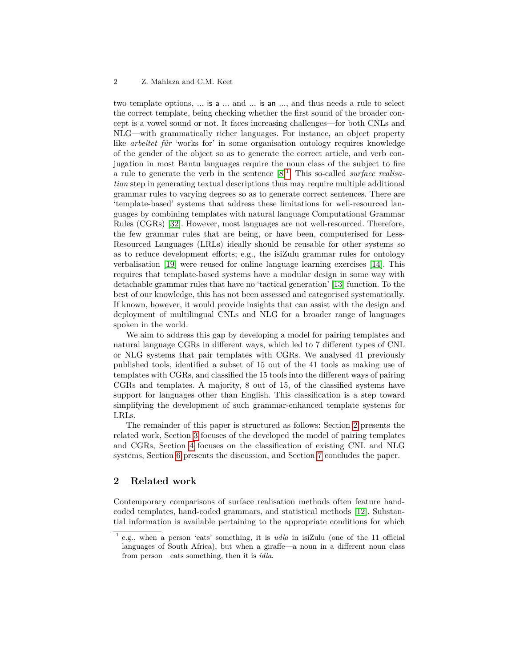two template options, ... is a ... and ... is an ..., and thus needs a rule to select the correct template, being checking whether the first sound of the broader concept is a vowel sound or not. It faces increasing challenges—for both CNLs and NLG—with grammatically richer languages. For instance, an object property like *arbeitet für* 'works for' in some organisation ontology requires knowledge of the gender of the object so as to generate the correct article, and verb conjugation in most Bantu languages require the noun class of the subject to fire a rule to generate the verb in the sentence  $[8]^1$  $[8]^1$  $[8]^1$ . This so-called *surface realisation* step in generating textual descriptions thus may require multiple additional grammar rules to varying degrees so as to generate correct sentences. There are 'template-based' systems that address these limitations for well-resourced languages by combining templates with natural language Computational Grammar Rules (CGRs) [\[32\]](#page-11-4). However, most languages are not well-resourced. Therefore, the few grammar rules that are being, or have been, computerised for Less-Resourced Languages (LRLs) ideally should be reusable for other systems so as to reduce development efforts; e.g., the isiZulu grammar rules for ontology verbalisation [\[19\]](#page-11-1) were reused for online language learning exercises [\[14\]](#page-10-4). This requires that template-based systems have a modular design in some way with detachable grammar rules that have no 'tactical generation' [\[13\]](#page-10-5) function. To the best of our knowledge, this has not been assessed and categorised systematically. If known, however, it would provide insights that can assist with the design and deployment of multilingual CNLs and NLG for a broader range of languages spoken in the world.

We aim to address this gap by developing a model for pairing templates and natural language CGRs in different ways, which led to 7 different types of CNL or NLG systems that pair templates with CGRs. We analysed 41 previously published tools, identified a subset of 15 out of the 41 tools as making use of templates with CGRs, and classified the 15 tools into the different ways of pairing CGRs and templates. A majority, 8 out of 15, of the classified systems have support for languages other than English. This classification is a step toward simplifying the development of such grammar-enhanced template systems for LRLs.

The remainder of this paper is structured as follows: Section [2](#page-1-1) presents the related work, Section [3](#page-3-0) focuses of the developed the model of pairing templates and CGRs, Section [4](#page-5-0) focuses on the classification of existing CNL and NLG systems, Section [6](#page-9-0) presents the discussion, and Section [7](#page-9-1) concludes the paper.

# <span id="page-1-1"></span>**2 Related work**

Contemporary comparisons of surface realisation methods often feature handcoded templates, hand-coded grammars, and statistical methods [\[12\]](#page-10-2). Substantial information is available pertaining to the appropriate conditions for which

<span id="page-1-0"></span><sup>1</sup> e.g., when a person 'eats' something, it is *udla* in isiZulu (one of the 11 official languages of South Africa), but when a giraffe—a noun in a different noun class from person—eats something, then it is *idla*.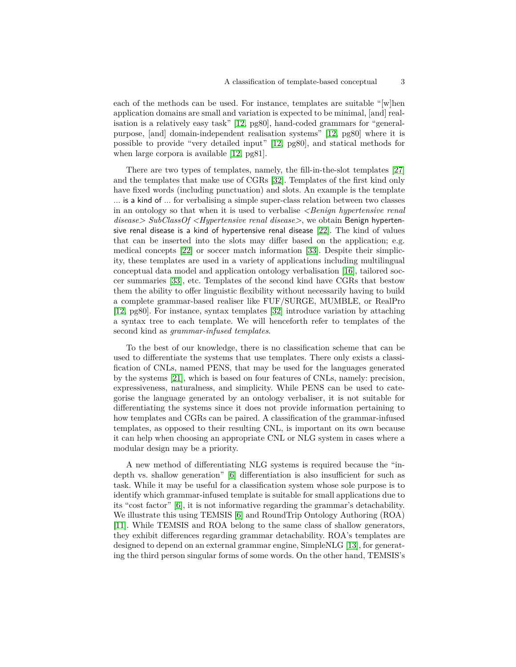each of the methods can be used. For instance, templates are suitable "|w|hen application domains are small and variation is expected to be minimal, [and] realisation is a relatively easy task" [\[12,](#page-10-2) pg80], hand-coded grammars for "generalpurpose, [and] domain-independent realisation systems" [\[12,](#page-10-2) pg80] where it is possible to provide "very detailed input" [\[12,](#page-10-2) pg80], and statical methods for when large corpora is available [\[12,](#page-10-2) pg81].

There are two types of templates, namely, the fill-in-the-slot templates [\[27\]](#page-11-5) and the templates that make use of CGRs [\[32\]](#page-11-4). Templates of the first kind only have fixed words (including punctuation) and slots. An example is the template ... is a kind of ... for verbalising a simple super-class relation between two classes in an ontology so that when it is used to verbalise *<Benign hypertensive renal disease> SubClassOf <Hypertensive renal disease>*, we obtain Benign hypertensive renal disease is a kind of hypertensive renal disease [\[22\]](#page-11-6). The kind of values that can be inserted into the slots may differ based on the application; e.g. medical concepts [\[22\]](#page-11-6) or soccer match information [\[33\]](#page-11-7). Despite their simplicity, these templates are used in a variety of applications including multilingual conceptual data model and application ontology verbalisation [\[16\]](#page-11-8), tailored soccer summaries [\[33\]](#page-11-7), etc. Templates of the second kind have CGRs that bestow them the ability to offer linguistic flexibility without necessarily having to build a complete grammar-based realiser like FUF/SURGE, MUMBLE, or RealPro [\[12,](#page-10-2) pg80]. For instance, syntax templates [\[32\]](#page-11-4) introduce variation by attaching a syntax tree to each template. We will henceforth refer to templates of the second kind as *grammar-infused templates*.

To the best of our knowledge, there is no classification scheme that can be used to differentiate the systems that use templates. There only exists a classification of CNLs, named PENS, that may be used for the languages generated by the systems [\[21\]](#page-11-9), which is based on four features of CNLs, namely: precision, expressiveness, naturalness, and simplicity. While PENS can be used to categorise the language generated by an ontology verbaliser, it is not suitable for differentiating the systems since it does not provide information pertaining to how templates and CGRs can be paired. A classification of the grammar-infused templates, as opposed to their resulting CNL, is important on its own because it can help when choosing an appropriate CNL or NLG system in cases where a modular design may be a priority.

A new method of differentiating NLG systems is required because the "indepth vs. shallow generation" [\[6\]](#page-10-6) differentiation is also insufficient for such as task. While it may be useful for a classification system whose sole purpose is to identify which grammar-infused template is suitable for small applications due to its "cost factor" [\[6\]](#page-10-6), it is not informative regarding the grammar's detachability. We illustrate this using TEMSIS [\[6\]](#page-10-6) and RoundTrip Ontology Authoring (ROA) [\[11\]](#page-10-7). While TEMSIS and ROA belong to the same class of shallow generators, they exhibit differences regarding grammar detachability. ROA's templates are designed to depend on an external grammar engine, SimpleNLG [\[13\]](#page-10-5), for generating the third person singular forms of some words. On the other hand, TEMSIS's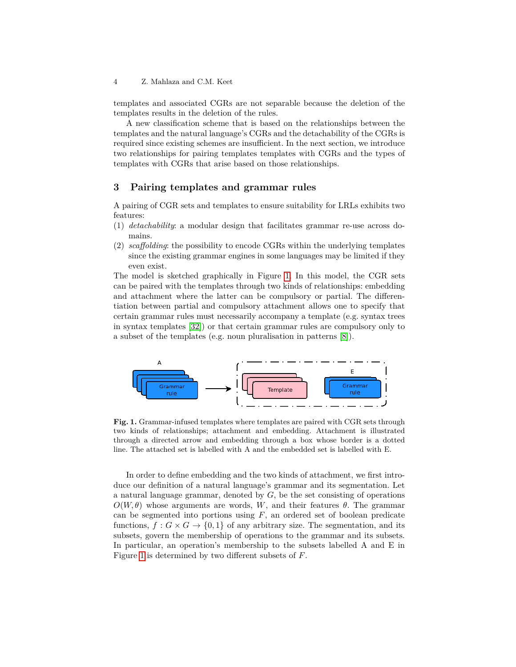templates and associated CGRs are not separable because the deletion of the templates results in the deletion of the rules.

A new classification scheme that is based on the relationships between the templates and the natural language's CGRs and the detachability of the CGRs is required since existing schemes are insufficient. In the next section, we introduce two relationships for pairing templates templates with CGRs and the types of templates with CGRs that arise based on those relationships.

# <span id="page-3-0"></span>**3 Pairing templates and grammar rules**

A pairing of CGR sets and templates to ensure suitability for LRLs exhibits two features:

- (1) *detachability*: a modular design that facilitates grammar re-use across domains.
- (2) *scaffolding*: the possibility to encode CGRs within the underlying templates since the existing grammar engines in some languages may be limited if they even exist.

The model is sketched graphically in Figure [1.](#page-3-1) In this model, the CGR sets can be paired with the templates through two kinds of relationships: embedding and attachment where the latter can be compulsory or partial. The differentiation between partial and compulsory attachment allows one to specify that certain grammar rules must necessarily accompany a template (e.g. syntax trees in syntax templates [\[32\]](#page-11-4)) or that certain grammar rules are compulsory only to a subset of the templates (e.g. noun pluralisation in patterns [\[8\]](#page-10-3)).



<span id="page-3-1"></span>**Fig. 1.** Grammar-infused templates where templates are paired with CGR sets through two kinds of relationships; attachment and embedding. Attachment is illustrated through a directed arrow and embedding through a box whose border is a dotted line. The attached set is labelled with A and the embedded set is labelled with E.

In order to define embedding and the two kinds of attachment, we first introduce our definition of a natural language's grammar and its segmentation. Let a natural language grammar, denoted by *G*, be the set consisting of operations  $O(W, \theta)$  whose arguments are words, *W*, and their features  $\theta$ . The grammar can be segmented into portions using  $F$ , an ordered set of boolean predicate functions,  $f: G \times G \to \{0,1\}$  of any arbitrary size. The segmentation, and its subsets, govern the membership of operations to the grammar and its subsets. In particular, an operation's membership to the subsets labelled A and E in Figure [1](#page-3-1) is determined by two different subsets of *F*.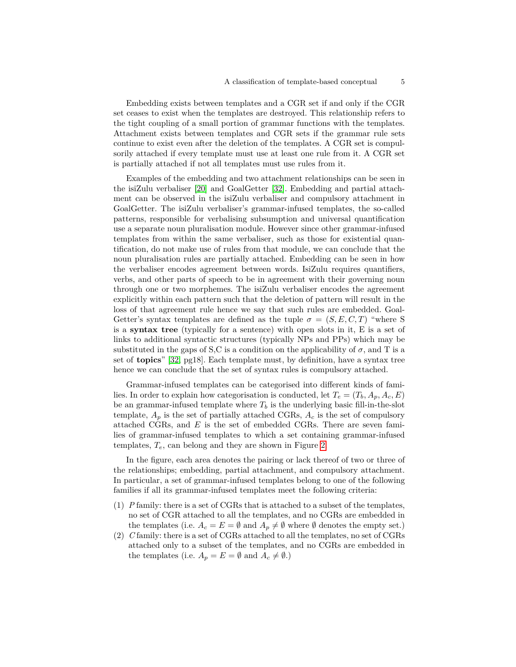Embedding exists between templates and a CGR set if and only if the CGR set ceases to exist when the templates are destroyed. This relationship refers to the tight coupling of a small portion of grammar functions with the templates. Attachment exists between templates and CGR sets if the grammar rule sets continue to exist even after the deletion of the templates. A CGR set is compulsorily attached if every template must use at least one rule from it. A CGR set is partially attached if not all templates must use rules from it.

Examples of the embedding and two attachment relationships can be seen in the isiZulu verbaliser [\[20\]](#page-11-10) and GoalGetter [\[32\]](#page-11-4). Embedding and partial attachment can be observed in the isiZulu verbaliser and compulsory attachment in GoalGetter. The isiZulu verbaliser's grammar-infused templates, the so-called patterns, responsible for verbalising subsumption and universal quantification use a separate noun pluralisation module. However since other grammar-infused templates from within the same verbaliser, such as those for existential quantification, do not make use of rules from that module, we can conclude that the noun pluralisation rules are partially attached. Embedding can be seen in how the verbaliser encodes agreement between words. IsiZulu requires quantifiers, verbs, and other parts of speech to be in agreement with their governing noun through one or two morphemes. The isiZulu verbaliser encodes the agreement explicitly within each pattern such that the deletion of pattern will result in the loss of that agreement rule hence we say that such rules are embedded. Goal-Getter's syntax templates are defined as the tuple  $\sigma = (S, E, C, T)$  "where S is a **syntax tree** (typically for a sentence) with open slots in it, E is a set of links to additional syntactic structures (typically NPs and PPs) which may be substituted in the gaps of S,C is a condition on the applicability of  $\sigma$ , and T is a set of **topics**" [\[32,](#page-11-4) pg18]. Each template must, by definition, have a syntax tree hence we can conclude that the set of syntax rules is compulsory attached.

Grammar-infused templates can be categorised into different kinds of families. In order to explain how categorisation is conducted, let  $T_e = (T_b, A_p, A_c, E)$ be an grammar-infused template where  $T_b$  is the underlying basic fill-in-the-slot template,  $A_p$  is the set of partially attached CGRs,  $A_c$  is the set of compulsory attached CGRs, and *E* is the set of embedded CGRs. There are seven families of grammar-infused templates to which a set containing grammar-infused templates, *Te*, can belong and they are shown in Figure [2.](#page-5-1)

In the figure, each area denotes the pairing or lack thereof of two or three of the relationships; embedding, partial attachment, and compulsory attachment. In particular, a set of grammar-infused templates belong to one of the following families if all its grammar-infused templates meet the following criteria:

- (1) *P* family: there is a set of CGRs that is attached to a subset of the templates, no set of CGR attached to all the templates, and no CGRs are embedded in the templates (i.e.  $A_c = E = \emptyset$  and  $A_p \neq \emptyset$  where  $\emptyset$  denotes the empty set.)
- (2) *C* family: there is a set of CGRs attached to all the templates, no set of CGRs attached only to a subset of the templates, and no CGRs are embedded in the templates (i.e.  $A_p = E = \emptyset$  and  $A_c \neq \emptyset$ .)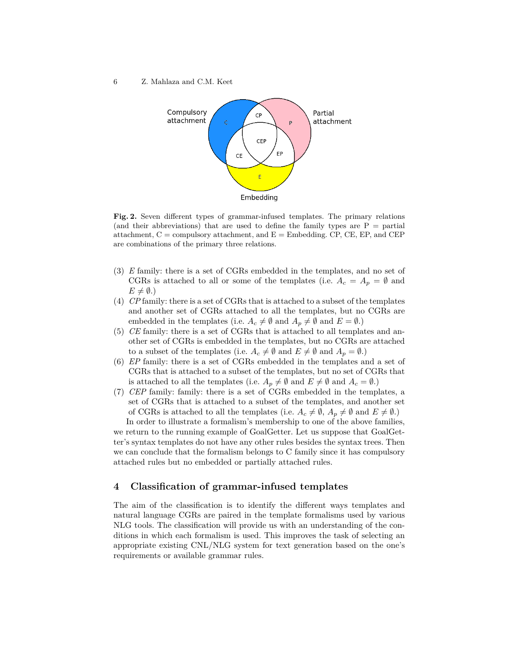

<span id="page-5-1"></span>**Fig. 2.** Seven different types of grammar-infused templates. The primary relations (and their abbreviations) that are used to define the family types are  $P =$  partial attachment,  $C =$  compulsory attachment, and  $E =$  Embedding. CP, CE, EP, and CEP are combinations of the primary three relations.

- (3) *E* family: there is a set of CGRs embedded in the templates, and no set of CGRs is attached to all or some of the templates (i.e.  $A_c = A_p = \emptyset$  and  $E \neq \emptyset.$
- (4) *CP* family: there is a set of CGRs that is attached to a subset of the templates and another set of CGRs attached to all the templates, but no CGRs are embedded in the templates (i.e.  $A_c \neq \emptyset$  and  $A_p \neq \emptyset$  and  $E = \emptyset$ .)
- (5) *CE* family: there is a set of CGRs that is attached to all templates and another set of CGRs is embedded in the templates, but no CGRs are attached to a subset of the templates (i.e.  $A_c \neq \emptyset$  and  $E \neq \emptyset$  and  $A_p = \emptyset$ .)
- (6) *EP* family: there is a set of CGRs embedded in the templates and a set of CGRs that is attached to a subset of the templates, but no set of CGRs that is attached to all the templates (i.e.  $A_p \neq \emptyset$  and  $E \neq \emptyset$  and  $A_c = \emptyset$ .)
- (7) *CEP* family: family: there is a set of CGRs embedded in the templates, a set of CGRs that is attached to a subset of the templates, and another set of CGRs is attached to all the templates (i.e.  $A_c \neq \emptyset$ ,  $A_p \neq \emptyset$  and  $E \neq \emptyset$ .) In order to illustrate a formalism's membership to one of the above families,

we return to the running example of GoalGetter. Let us suppose that GoalGetter's syntax templates do not have any other rules besides the syntax trees. Then we can conclude that the formalism belongs to C family since it has compulsory attached rules but no embedded or partially attached rules.

# <span id="page-5-0"></span>**4 Classification of grammar-infused templates**

The aim of the classification is to identify the different ways templates and natural language CGRs are paired in the template formalisms used by various NLG tools. The classification will provide us with an understanding of the conditions in which each formalism is used. This improves the task of selecting an appropriate existing CNL/NLG system for text generation based on the one's requirements or available grammar rules.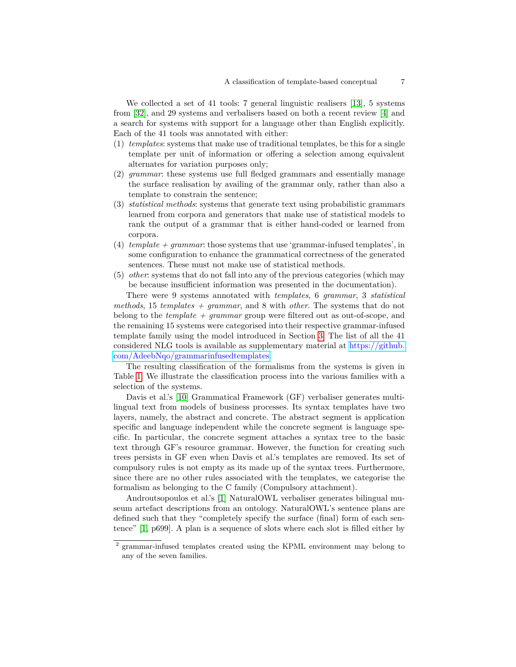We collected a set of 41 tools: 7 general linguistic realisers [\[13\]](#page-10-5), 5 systems from [\[32\]](#page-11-4), and 29 systems and verbalisers based on both a recent review [\[4\]](#page-10-8) and a search for systems with support for a language other than English explicitly. Each of the 41 tools was annotated with either:

- (1) *templates*: systems that make use of traditional templates, be this for a single template per unit of information or offering a selection among equivalent alternates for variation purposes only;
- (2) *grammar*: these systems use full fledged grammars and essentially manage the surface realisation by availing of the grammar only, rather than also a template to constrain the sentence;
- (3) *statistical methods*: systems that generate text using probabilistic grammars learned from corpora and generators that make use of statistical models to rank the output of a grammar that is either hand-coded or learned from corpora.
- (4) *template + grammar*: those systems that use 'grammar-infused templates', in some configuration to enhance the grammatical correctness of the generated sentences. These must not make use of statistical methods.
- (5) *other*: systems that do not fall into any of the previous categories (which may be because insufficient information was presented in the documentation).

There were 9 systems annotated with *templates*, 6 *grammar*, 3 *statistical methods*, 15 *templates + grammar*, and 8 with *other*. The systems that do not belong to the *template + grammar* group were filtered out as out-of-scope, and the remaining 15 systems were categorised into their respective grammar-infused template family using the model introduced in Section [3.](#page-3-0) The list of all the 41 considered NLG tools is available as supplementary material at [https://github.](https://github.com/AdeebNqo/grammarinfusedtemplates) [com/AdeebNqo/grammarinfusedtemplates.](https://github.com/AdeebNqo/grammarinfusedtemplates)

The resulting classification of the formalisms from the systems is given in Table [1.](#page-7-0) We illustrate the classification process into the various families with a selection of the systems.

Davis et al.'s [\[10\]](#page-10-9) Grammatical Framework (GF) verbaliser generates multilingual text from models of business processes. Its syntax templates have two layers, namely, the abstract and concrete. The abstract segment is application specific and language independent while the concrete segment is language specific. In particular, the concrete segment attaches a syntax tree to the basic text through GF's resource grammar. However, the function for creating such trees persists in GF even when Davis et al.'s templates are removed. Its set of compulsory rules is not empty as its made up of the syntax trees. Furthermore, since there are no other rules associated with the templates, we categorise the formalism as belonging to the C family (Compulsory attachment).

Androutsopoulos et al.'s [\[1\]](#page-10-0) NaturalOWL verbaliser generates bilingual museum artefact descriptions from an ontology. NaturalOWL's sentence plans are defined such that they "completely specify the surface (final) form of each sentence" [\[1,](#page-10-0) p699]. A plan is a sequence of slots where each slot is filled either by

<span id="page-6-0"></span><sup>&</sup>lt;sup>2</sup> grammar-infused templates created using the KPML environment may belong to any of the seven families.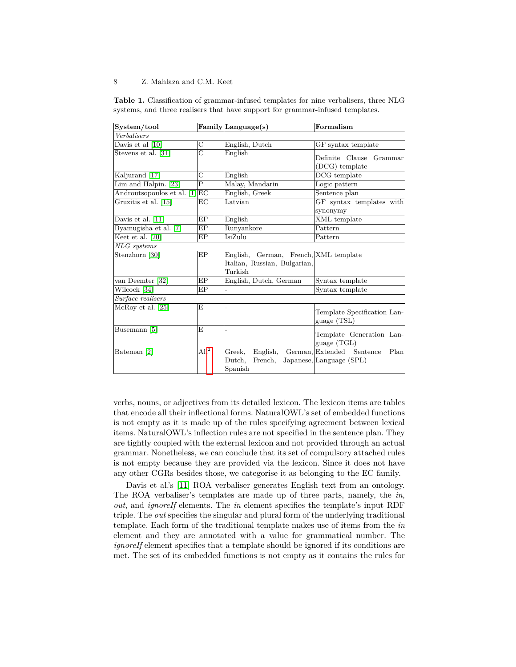<span id="page-7-0"></span>**Table 1.** Classification of grammar-infused templates for nine verbalisers, three NLG systems, and three realisers that have support for grammar-infused templates.

| System/tool                   |                | Family Language $(s)$                   | Formalism                                    |
|-------------------------------|----------------|-----------------------------------------|----------------------------------------------|
| Verbalisers                   |                |                                         |                                              |
| Davis et al [10]              | $\mathcal C$   | English, Dutch                          | GF syntax template                           |
| Stevens et al. [31]           | Ċ              | English                                 | Definite Clause<br>Grammar<br>(DCG) template |
| Kaljurand [17]                | C              | English                                 | DCG template                                 |
| Lim and Halpin. [23]          | $\overline{P}$ | Malay, Mandarin                         | Logic pattern                                |
| Androutsopoulos et al. [1] EC |                | English, Greek                          | Sentence plan                                |
| Gruzitis et al. [15]          | EC             | Latvian                                 | GF syntax templates with                     |
|                               |                |                                         | synonymy                                     |
| Davis et al. [11]             | EP             | English                                 | XML template                                 |
| Byamugisha et al. [7]         | EP             | Runyankore                              | Pattern                                      |
| Keet et al. [20]              | EP             | IsiZulu                                 | Pattern                                      |
| NLG systems                   |                |                                         |                                              |
| Stenzhorn [30]                | EP             | English, German, French, XML template   |                                              |
|                               |                | Italian, Russian, Bulgarian,<br>Turkish |                                              |
| van Deemter [32]              | EP             | English, Dutch, German                  | Syntax template                              |
| Wilcock [34]                  | EP             |                                         | Syntax template                              |
| Surface realisers             |                |                                         |                                              |
| McRoy et al. [25]             | E              |                                         | Template Specification Lan-<br>guage (TSL)   |
| Busemann [5]                  | E              |                                         | Template Generation Lan-<br>guage (TGL)      |
| Bateman [2]                   | $\text{All}^2$ | Greek,<br>English,                      | German, Extended<br>Plan<br>Sentence         |
|                               |                | Dutch,<br>French,                       | Japanese, Language (SPL)                     |
|                               |                | Spanish                                 |                                              |

verbs, nouns, or adjectives from its detailed lexicon. The lexicon items are tables that encode all their inflectional forms. NaturalOWL's set of embedded functions is not empty as it is made up of the rules specifying agreement between lexical items. NaturalOWL's inflection rules are not specified in the sentence plan. They are tightly coupled with the external lexicon and not provided through an actual grammar. Nonetheless, we can conclude that its set of compulsory attached rules is not empty because they are provided via the lexicon. Since it does not have any other CGRs besides those, we categorise it as belonging to the EC family.

Davis et al.'s [\[11\]](#page-10-7) ROA verbaliser generates English text from an ontology. The ROA verbaliser's templates are made up of three parts, namely, the *in*, *out*, and *ignoreIf* elements. The *in* element specifies the template's input RDF triple. The *out* specifies the singular and plural form of the underlying traditional template. Each form of the traditional template makes use of items from the *in* element and they are annotated with a value for grammatical number. The *ignoreIf* element specifies that a template should be ignored if its conditions are met. The set of its embedded functions is not empty as it contains the rules for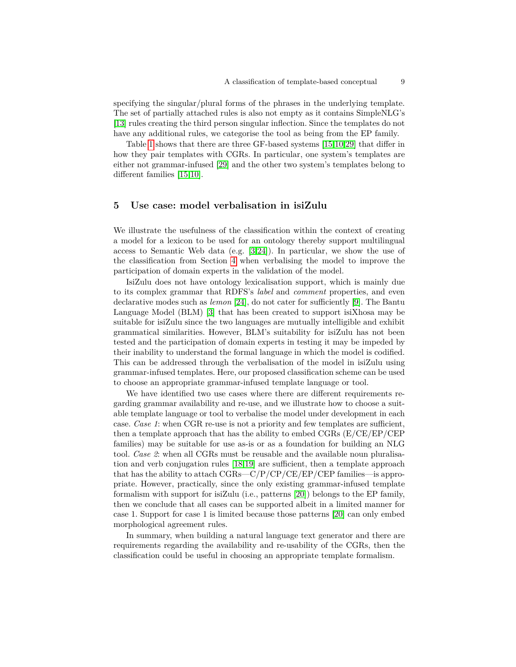specifying the singular/plural forms of the phrases in the underlying template. The set of partially attached rules is also not empty as it contains SimpleNLG's [\[13\]](#page-10-5) rules creating the third person singular inflection. Since the templates do not have any additional rules, we categorise the tool as being from the EP family.

Table [1](#page-7-0) shows that there are three GF-based systems [\[15,](#page-10-1)[10,](#page-10-9)[29\]](#page-11-16) that differ in how they pair templates with CGRs. In particular, one system's templates are either not grammar-infused [\[29\]](#page-11-16) and the other two system's templates belong to different families [\[15,](#page-10-1)[10\]](#page-10-9).

## **5 Use case: model verbalisation in isiZulu**

We illustrate the usefulness of the classification within the context of creating a model for a lexicon to be used for an ontology thereby support multilingual access to Semantic Web data (e.g. [\[3,](#page-10-13)[24\]](#page-11-17)). In particular, we show the use of the classification from Section [4](#page-5-0) when verbalising the model to improve the participation of domain experts in the validation of the model.

IsiZulu does not have ontology lexicalisation support, which is mainly due to its complex grammar that RDFS's *label* and *comment* properties, and even declarative modes such as *lemon* [\[24\]](#page-11-17), do not cater for sufficiently [\[9\]](#page-10-14). The Bantu Language Model (BLM) [\[3\]](#page-10-13) that has been created to support isiXhosa may be suitable for isiZulu since the two languages are mutually intelligible and exhibit grammatical similarities. However, BLM's suitability for isiZulu has not been tested and the participation of domain experts in testing it may be impeded by their inability to understand the formal language in which the model is codified. This can be addressed through the verbalisation of the model in isiZulu using grammar-infused templates. Here, our proposed classification scheme can be used to choose an appropriate grammar-infused template language or tool.

We have identified two use cases where there are different requirements regarding grammar availability and re-use, and we illustrate how to choose a suitable template language or tool to verbalise the model under development in each case. *Case 1*: when CGR re-use is not a priority and few templates are sufficient, then a template approach that has the ability to embed CGRs (E/CE/EP/CEP families) may be suitable for use as-is or as a foundation for building an NLG tool. *Case 2*: when all CGRs must be reusable and the available noun pluralisation and verb conjugation rules [\[18,](#page-11-18)[19\]](#page-11-1) are sufficient, then a template approach that has the ability to attach CGRs—C/P/CP/CE/EP/CEP families—is appropriate. However, practically, since the only existing grammar-infused template formalism with support for isiZulu (i.e., patterns [\[20\]](#page-11-10)) belongs to the EP family, then we conclude that all cases can be supported albeit in a limited manner for case 1. Support for case 1 is limited because those patterns [\[20\]](#page-11-10) can only embed morphological agreement rules.

In summary, when building a natural language text generator and there are requirements regarding the availability and re-usability of the CGRs, then the classification could be useful in choosing an appropriate template formalism.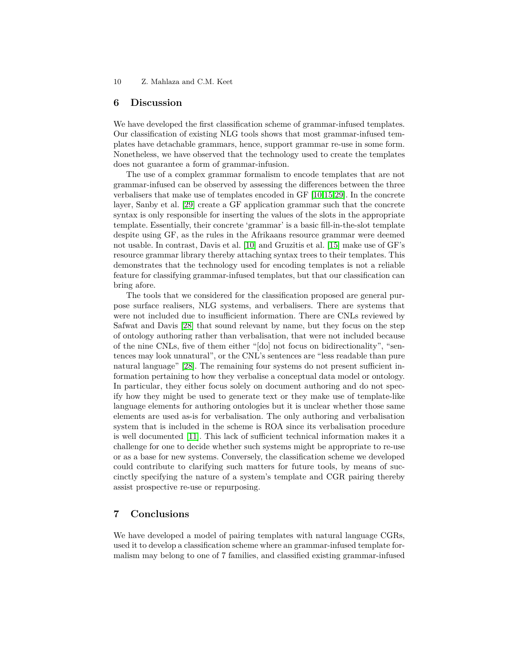### <span id="page-9-0"></span>**6 Discussion**

We have developed the first classification scheme of grammar-infused templates. Our classification of existing NLG tools shows that most grammar-infused templates have detachable grammars, hence, support grammar re-use in some form. Nonetheless, we have observed that the technology used to create the templates does not guarantee a form of grammar-infusion.

The use of a complex grammar formalism to encode templates that are not grammar-infused can be observed by assessing the differences between the three verbalisers that make use of templates encoded in GF [\[10,](#page-10-9)[15,](#page-10-1)[29\]](#page-11-16). In the concrete layer, Sanby et al. [\[29\]](#page-11-16) create a GF application grammar such that the concrete syntax is only responsible for inserting the values of the slots in the appropriate template. Essentially, their concrete 'grammar' is a basic fill-in-the-slot template despite using GF, as the rules in the Afrikaans resource grammar were deemed not usable. In contrast, Davis et al. [\[10\]](#page-10-9) and Gruzitis et al. [\[15\]](#page-10-1) make use of GF's resource grammar library thereby attaching syntax trees to their templates. This demonstrates that the technology used for encoding templates is not a reliable feature for classifying grammar-infused templates, but that our classification can bring afore.

The tools that we considered for the classification proposed are general purpose surface realisers, NLG systems, and verbalisers. There are systems that were not included due to insufficient information. There are CNLs reviewed by Safwat and Davis [\[28\]](#page-11-2) that sound relevant by name, but they focus on the step of ontology authoring rather than verbalisation, that were not included because of the nine CNLs, five of them either "[do] not focus on bidirectionality", "sentences may look unnatural", or the CNL's sentences are "less readable than pure natural language" [\[28\]](#page-11-2). The remaining four systems do not present sufficient information pertaining to how they verbalise a conceptual data model or ontology. In particular, they either focus solely on document authoring and do not specify how they might be used to generate text or they make use of template-like language elements for authoring ontologies but it is unclear whether those same elements are used as-is for verbalisation. The only authoring and verbalisation system that is included in the scheme is ROA since its verbalisation procedure is well documented [\[11\]](#page-10-7). This lack of sufficient technical information makes it a challenge for one to decide whether such systems might be appropriate to re-use or as a base for new systems. Conversely, the classification scheme we developed could contribute to clarifying such matters for future tools, by means of succinctly specifying the nature of a system's template and CGR pairing thereby assist prospective re-use or repurposing.

# <span id="page-9-1"></span>**7 Conclusions**

We have developed a model of pairing templates with natural language CGRs, used it to develop a classification scheme where an grammar-infused template formalism may belong to one of 7 families, and classified existing grammar-infused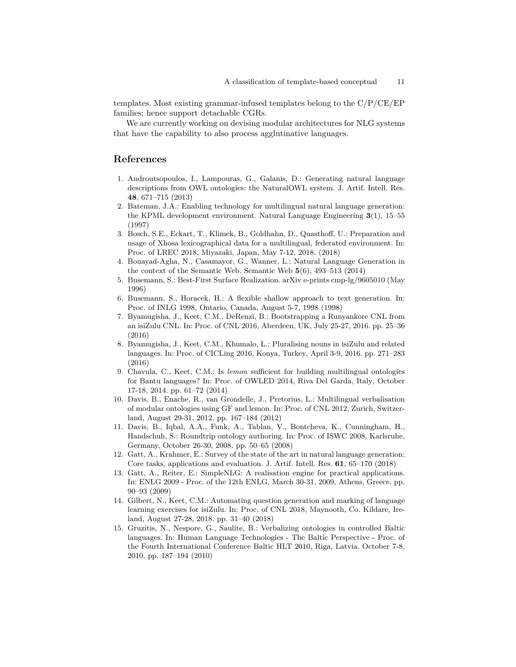templates. Most existing grammar-infused templates belong to the C/P/CE/EP families; hence support detachable CGRs.

We are currently working on devising modular architectures for NLG systems that have the capability to also process agglutinative languages.

### **References**

- <span id="page-10-0"></span>1. Androutsopoulos, I., Lampouras, G., Galanis, D.: Generating natural language descriptions from OWL ontologies: the NaturalOWL system. J. Artif. Intell. Res. **48**, 671–715 (2013)
- <span id="page-10-12"></span>2. Bateman, J.A.: Enabling technology for multilingual natural language generation: the KPML development environment. Natural Language Engineering **3**(1), 15–55 (1997)
- <span id="page-10-13"></span>3. Bosch, S.E., Eckart, T., Klimek, B., Goldhahn, D., Quasthoff, U.: Preparation and usage of Xhosa lexicographical data for a multilingual, federated environment. In: Proc. of LREC 2018, Miyazaki, Japan, May 7-12, 2018. (2018)
- <span id="page-10-8"></span>4. Bouayad-Agha, N., Casamayor, G., Wanner, L.: Natural Language Generation in the context of the Semantic Web. Semantic Web **5**(6), 493–513 (2014)
- <span id="page-10-11"></span>5. Busemann, S.: Best-First Surface Realization. arXiv e-prints cmp-lg/9605010 (May 1996)
- <span id="page-10-6"></span>6. Busemann, S., Horacek, H.: A flexible shallow approach to text generation. In: Proc. of INLG 1998, Ontario, Canada, August 5-7, 1998 (1998)
- <span id="page-10-10"></span>7. Byamugisha, J., Keet, C.M., DeRenzi, B.: Bootstrapping a Runyankore CNL from an isiZulu CNL. In: Proc. of CNL 2016, Aberdeen, UK, July 25-27, 2016. pp. 25–36 (2016)
- <span id="page-10-3"></span>8. Byamugisha, J., Keet, C.M., Khumalo, L.: Pluralising nouns in isiZulu and related languages. In: Proc. of CICLing 2016, Konya, Turkey, April 3-9, 2016. pp. 271–283 (2016)
- <span id="page-10-14"></span>9. Chavula, C., Keet, C.M.: Is *lemon* sufficient for building multilingual ontologies for Bantu languages? In: Proc. of OWLED 2014, Riva Del Garda, Italy, October 17-18, 2014. pp. 61–72 (2014)
- <span id="page-10-9"></span>10. Davis, B., Enache, R., van Grondelle, J., Pretorius, L.: Multilingual verbalisation of modular ontologies using GF and lemon. In: Proc. of CNL 2012, Zurich, Switzerland, August 29-31, 2012. pp. 167–184 (2012)
- <span id="page-10-7"></span>11. Davis, B., Iqbal, A.A., Funk, A., Tablan, V., Bontcheva, K., Cunningham, H., Handschuh, S.: Roundtrip ontology authoring. In: Proc. of ISWC 2008, Karlsruhe, Germany, October 26-30, 2008. pp. 50–65 (2008)
- <span id="page-10-2"></span>12. Gatt, A., Krahmer, E.: Survey of the state of the art in natural language generation: Core tasks, applications and evaluation. J. Artif. Intell. Res. **61**, 65–170 (2018)
- <span id="page-10-5"></span>13. Gatt, A., Reiter, E.: SimpleNLG: A realisation engine for practical applications. In: ENLG 2009 - Proc. of the 12th ENLG, March 30-31, 2009, Athens, Greece. pp. 90–93 (2009)
- <span id="page-10-4"></span>14. Gilbert, N., Keet, C.M.: Automating question generation and marking of language learning exercises for isiZulu. In: Proc. of CNL 2018, Maynooth, Co. Kildare, Ireland, August 27-28, 2018. pp. 31–40 (2018)
- <span id="page-10-1"></span>15. Gruzitis, N., Nespore, G., Saulite, B.: Verbalizing ontologies in controlled Baltic languages. In: Human Language Technologies - The Baltic Perspective - Proc. of the Fourth International Conference Baltic HLT 2010, Riga, Latvia, October 7-8, 2010. pp. 187–194 (2010)